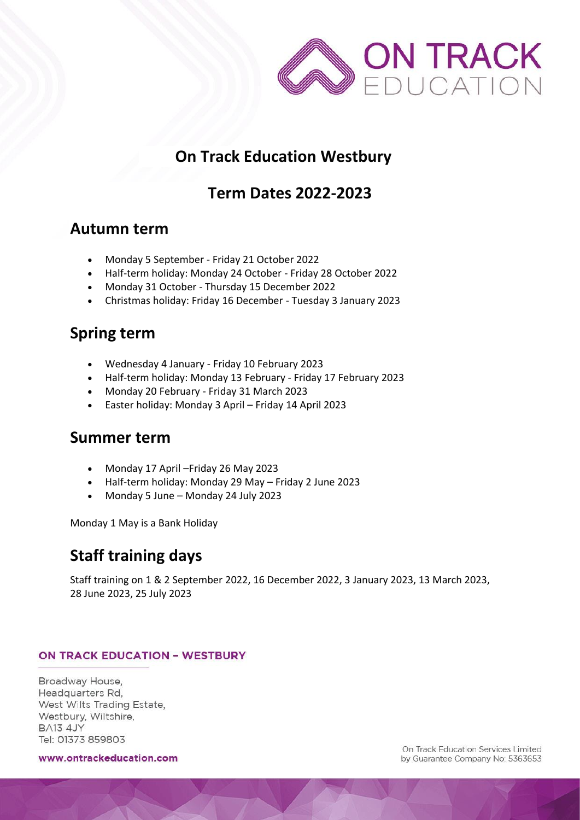

# **On Track Education Westbury**

## **Term Dates 2022-2023**

## **Autumn term**

- Monday 5 September Friday 21 October 2022
- Half-term holiday: Monday 24 October Friday 28 October 2022
- Monday 31 October Thursday 15 December 2022
- Christmas holiday: Friday 16 December Tuesday 3 January 2023

## **Spring term**

- Wednesday 4 January Friday 10 February 2023
- Half-term holiday: Monday 13 February Friday 17 February 2023
- Monday 20 February Friday 31 March 2023
- Easter holiday: Monday 3 April Friday 14 April 2023

### **Summer term**

- Monday 17 April –Friday 26 May 2023
- Half-term holiday: Monday 29 May Friday 2 June 2023
- Monday 5 June Monday 24 July 2023

Monday 1 May is a Bank Holiday

## **Staff training days**

Staff training on 1 & 2 September 2022, 16 December 2022, 3 January 2023, 13 March 2023, 28 June 2023, 25 July 2023

#### **ON TRACK EDUCATION - WESTBURY**

Broadway House. Headquarters Rd, West Wilts Trading Estate, Westbury, Wiltshire, **BA13 4JY** Tel: 01373 859803

www.ontrackeducation.com